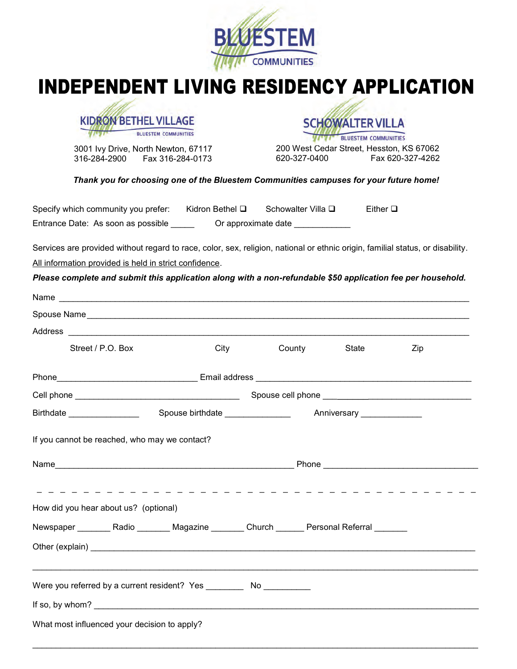

## INDEPENDENT LIVING RESIDENCY APPLICATION



3001 Ivy Drive, North Newton, 67117 316-284-2900 Fax 316-284-0173

**BLUESTEM COMMUNITIES** 200 West Cedar Street, Hesston, KS 67062 620-327-0400 Fax 620-327-4262

**SCHOWALTER VILLA** 

#### *Thank you for choosing one of the Bluestem Communities campuses for your future home!*

| Specify which community you prefer: | Kidron Bethel <b>□</b> | Schowalter Villa <b>□</b> | Either $\square$ |
|-------------------------------------|------------------------|---------------------------|------------------|
| Entrance Date: As soon as possible  | Or approximate date    |                           |                  |

Services are provided without regard to race, color, sex, religion, national or ethnic origin, familial status, or disability. All information provided is held in strict confidence.

*Please complete and submit this application along with a non-refundable \$50 application fee per household.* 

| Street / P.O. Box                                                                                |  | <b>City</b> | County | State | Zip |
|--------------------------------------------------------------------------------------------------|--|-------------|--------|-------|-----|
|                                                                                                  |  |             |        |       |     |
|                                                                                                  |  |             |        |       |     |
|                                                                                                  |  |             |        |       |     |
| If you cannot be reached, who may we contact?                                                    |  |             |        |       |     |
|                                                                                                  |  |             |        |       |     |
| How did you hear about us? (optional)                                                            |  |             |        |       |     |
| Newspaper __________ Radio _________ Magazine ________ Church _______ Personal Referral ________ |  |             |        |       |     |
|                                                                                                  |  |             |        |       |     |
| Were you referred by a current resident? Yes ____________ No ___________                         |  |             |        |       |     |
|                                                                                                  |  |             |        |       |     |
| What most influenced your decision to apply?                                                     |  |             |        |       |     |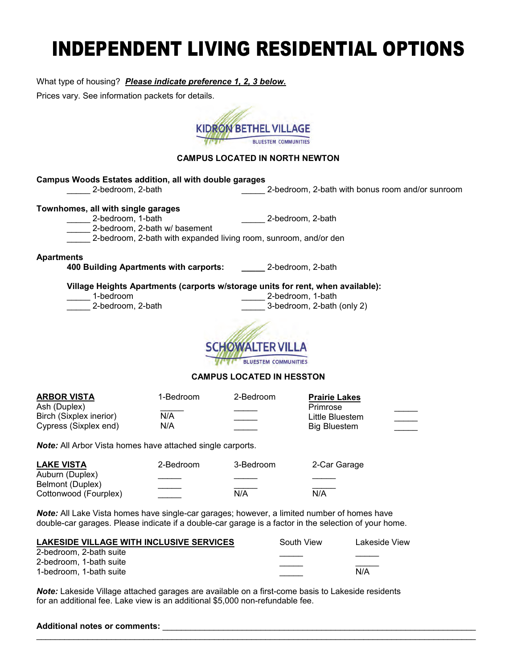# INDEPENDENT LIVING RESIDENTIAL OPTIONS

What type of housing? *Please indicate preference 1, 2, 3 below.*

Prices vary. See information packets for details.



### **CAMPUS LOCATED IN NORTH NEWTON**

| <b>Campus Woods Estates addition, all with double garages</b><br>2-bedroom, 2-bath                                                                                                                                                    |                                                                     | 2-bedroom, 2-bath with bonus room and/or sunroom                           |  |
|---------------------------------------------------------------------------------------------------------------------------------------------------------------------------------------------------------------------------------------|---------------------------------------------------------------------|----------------------------------------------------------------------------|--|
| Townhomes, all with single garages<br>_______ 2-bedroom, 1-bath<br>2-bedroom, 2-bath w/ basement<br>2-bedroom, 2-bath with expanded living room, sunroom, and/or den                                                                  | 2-bedroom, 2-bath                                                   |                                                                            |  |
| <b>Apartments</b><br>400 Building Apartments with carports: 2-bedroom, 2-bath                                                                                                                                                         |                                                                     |                                                                            |  |
| Village Heights Apartments (carports w/storage units for rent, when available):<br>1-bedroom<br>________ 2-bedroom, 1-bath<br>2-bedroom, 2-bath<br>3-bedroom, 2-bath (only 2)<br><b>SCHOWALTER VILLA</b>                              |                                                                     |                                                                            |  |
|                                                                                                                                                                                                                                       | <b>TI' BLUESTEM COMMUNITIES</b><br><b>CAMPUS LOCATED IN HESSTON</b> |                                                                            |  |
| <b>ARBOR VISTA</b><br>1-Bedroom<br>Ash (Duplex)<br>Birch (Sixplex inerior)<br>N/A<br>Cypress (Sixplex end)<br>N/A                                                                                                                     | 2-Bedroom                                                           | <b>Prairie Lakes</b><br>Primrose<br>Little Bluestem<br><b>Big Bluestem</b> |  |
| <b>Note:</b> All Arbor Vista homes have attached single carports.                                                                                                                                                                     |                                                                     |                                                                            |  |
| <b>LAKE VISTA</b><br>2-Bedroom<br>Auburn (Duplex)<br>Belmont (Duplex)<br>Cottonwood (Fourplex)                                                                                                                                        | 3-Bedroom<br>N/A                                                    | 2-Car Garage<br>N/A                                                        |  |
| Note: All Lake Vista homes have single-car garages; however, a limited number of homes have<br>double-car garages. Please indicate if a double-car garage is a factor in the selection of your home.                                  |                                                                     |                                                                            |  |
| <b>LAKESIDE VILLAGE WITH INCLUSIVE SERVICES</b><br>2-bedroom, 2-bath suite<br>2-bedroom, 1-bath suite<br>1-bedroom, 1-bath suite<br>Note: Lakeside Village attached garages are available on a first-come basis to Lakeside residents | South View                                                          | Lakeside View<br>N/A                                                       |  |

 $\mathcal{L}_\mathcal{L} = \{ \mathcal{L}_\mathcal{L} = \{ \mathcal{L}_\mathcal{L} = \{ \mathcal{L}_\mathcal{L} = \{ \mathcal{L}_\mathcal{L} = \{ \mathcal{L}_\mathcal{L} = \{ \mathcal{L}_\mathcal{L} = \{ \mathcal{L}_\mathcal{L} = \{ \mathcal{L}_\mathcal{L} = \{ \mathcal{L}_\mathcal{L} = \{ \mathcal{L}_\mathcal{L} = \{ \mathcal{L}_\mathcal{L} = \{ \mathcal{L}_\mathcal{L} = \{ \mathcal{L}_\mathcal{L} = \{ \mathcal{L}_\mathcal{$ 

for an additional fee. Lake view is an additional \$5,000 non-refundable fee.

| <b>Additional notes or comments:</b> |  |
|--------------------------------------|--|
|                                      |  |